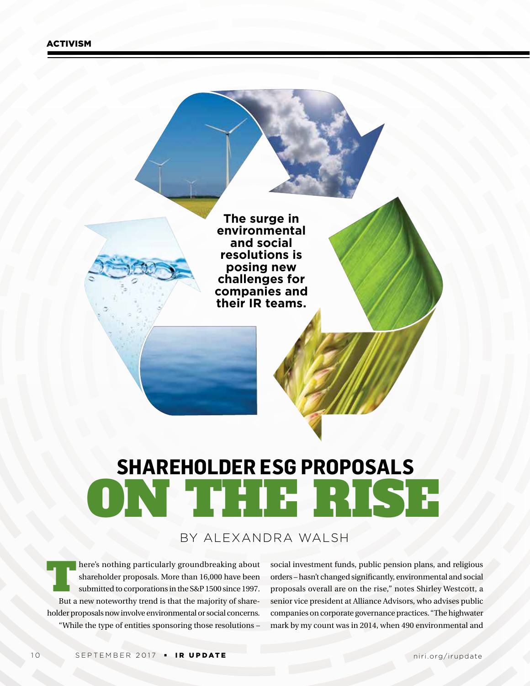**The surge in environmental and social resolutions is posing new challenges for companies and their IR teams.**

# ON THE RISE **SHAREHOLDER ESG PROPOSALS**

### BY ALEXANDRA WALSH

here's nothing particularly groundbreaking about<br>shareholder proposals. More than 16,000 have been<br>submitted to corporations in the S&P 1500 since 1997. shareholder proposals. More than 16,000 have been submitted to corporations in the S&P 1500 since 1997. But a new noteworthy trend is that the majority of shareholder proposals now involve environmental or social concerns. "While the type of entities sponsoring those resolutions –

social investment funds, public pension plans, and religious orders – hasn't changed significantly, environmental and social proposals overall are on the rise," notes Shirley Westcott, a senior vice president at Alliance Advisors, who advises public companies on corporate governance practices. "The highwater mark by my count was in 2014, when 490 environmental and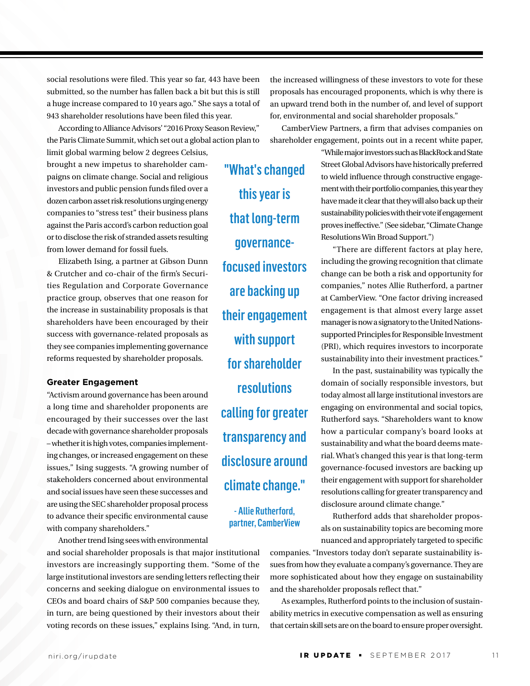social resolutions were filed. This year so far, 443 have been submitted, so the number has fallen back a bit but this is still a huge increase compared to 10 years ago." She says a total of 943 shareholder resolutions have been filed this year.

According to Alliance Advisors' "2016 Proxy Season Review," the Paris Climate Summit, which set out a global action plan to

limit global warming below 2 degrees Celsius, brought a new impetus to shareholder campaigns on climate change. Social and religious investors and public pension funds filed over a dozen carbon asset risk resolutions urging energy companies to "stress test" their business plans against the Paris accord's carbon reduction goal or to disclose the risk of stranded assets resulting from lower demand for fossil fuels.

Elizabeth Ising, a partner at Gibson Dunn & Crutcher and co-chair of the firm's Securities Regulation and Corporate Governance practice group, observes that one reason for the increase in sustainability proposals is that shareholders have been encouraged by their success with governance-related proposals as they see companies implementing governance reforms requested by shareholder proposals.

#### **Greater Engagement**

"Activism around governance has been around a long time and shareholder proponents are encouraged by their successes over the last decade with governance shareholder proposals – whether it is high votes, companies implementing changes, or increased engagement on these issues," Ising suggests. "A growing number of stakeholders concerned about environmental and social issues have seen these successes and are using the SEC shareholder proposal process to advance their specific environmental cause with company shareholders."

Another trend Ising sees with environmental

and social shareholder proposals is that major institutional investors are increasingly supporting them. "Some of the large institutional investors are sending letters reflecting their concerns and seeking dialogue on environmental issues to CEOs and board chairs of S&P 500 companies because they, in turn, are being questioned by their investors about their voting records on these issues," explains Ising. "And, in turn,

"What's changed this year is that long-term governancefocused investors are backing up their engagement with support for shareholder resolutions calling for greater transparency and disclosure around climate change."

> - Allie Rutherford, partner, CamberView

the increased willingness of these investors to vote for these proposals has encouraged proponents, which is why there is an upward trend both in the number of, and level of support for, environmental and social shareholder proposals."

CamberView Partners, a firm that advises companies on shareholder engagement, points out in a recent white paper,

> "While major investors such as BlackRock and State Street Global Advisors have historically preferred to wield influence through constructive engagement with their portfolio companies, this year they have made it clear that they will also back up their sustainability policies with their vote if engagement proves ineffective." (See sidebar, "Climate Change Resolutions Win Broad Support.")

> "There are different factors at play here, including the growing recognition that climate change can be both a risk and opportunity for companies," notes Allie Rutherford, a partner at CamberView. "One factor driving increased engagement is that almost every large asset manager is now a signatory to the United Nationssupported Principles for Responsible Investment (PRI), which requires investors to incorporate sustainability into their investment practices."

> In the past, sustainability was typically the domain of socially responsible investors, but today almost all large institutional investors are engaging on environmental and social topics, Rutherford says. "Shareholders want to know how a particular company's board looks at sustainability and what the board deems material. What's changed this year is that long-term governance-focused investors are backing up their engagement with support for shareholder resolutions calling for greater transparency and disclosure around climate change."

> Rutherford adds that shareholder proposals on sustainability topics are becoming more nuanced and appropriately targeted to specific

companies. "Investors today don't separate sustainability issues from how they evaluate a company's governance. They are more sophisticated about how they engage on sustainability and the shareholder proposals reflect that."

As examples, Rutherford points to the inclusion of sustainability metrics in executive compensation as well as ensuring that certain skill sets are on the board to ensure proper oversight.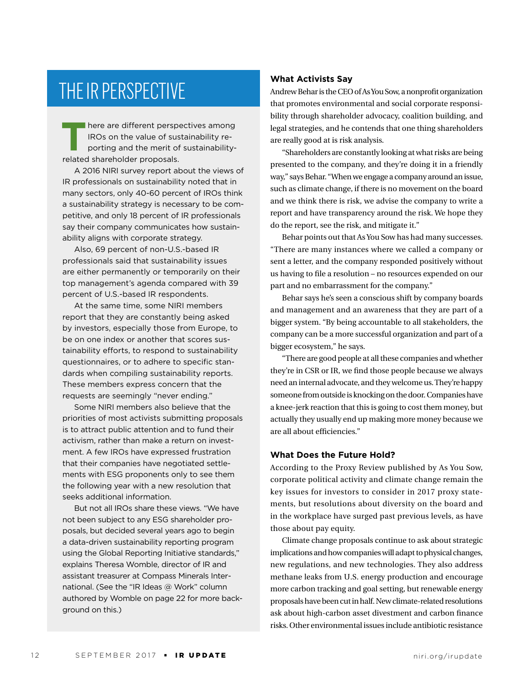### THE IR PERSPECTIVE

There are different perspectives among<br>IROs on the value of sustainability reporting and the merit of sustainability-<br>related shareholder proposals IROs on the value of sustainability reporting and the merit of sustainabilityrelated shareholder proposals.

A 2016 NIRI survey report about the views of IR professionals on sustainability noted that in many sectors, only 40-60 percent of IROs think a sustainability strategy is necessary to be competitive, and only 18 percent of IR professionals say their company communicates how sustainability aligns with corporate strategy.

Also, 69 percent of non-U.S.-based IR professionals said that sustainability issues are either permanently or temporarily on their top management's agenda compared with 39 percent of U.S.-based IR respondents.

At the same time, some NIRI members report that they are constantly being asked by investors, especially those from Europe, to be on one index or another that scores sustainability efforts, to respond to sustainability questionnaires, or to adhere to specific standards when compiling sustainability reports. These members express concern that the requests are seemingly "never ending."

Some NIRI members also believe that the priorities of most activists submitting proposals is to attract public attention and to fund their activism, rather than make a return on investment. A few IROs have expressed frustration that their companies have negotiated settlements with ESG proponents only to see them the following year with a new resolution that seeks additional information.

But not all IROs share these views. "We have not been subject to any ESG shareholder proposals, but decided several years ago to begin a data-driven sustainability reporting program using the Global Reporting Initiative standards," explains Theresa Womble, director of IR and assistant treasurer at Compass Minerals International. (See the "IR Ideas @ Work" column authored by Womble on page 22 for more background on this.)

### **What Activists Say**

Andrew Behar is the CEO of As You Sow, a nonprofit organization that promotes environmental and social corporate responsibility through shareholder advocacy, coalition building, and legal strategies, and he contends that one thing shareholders are really good at is risk analysis.

"Shareholders are constantly looking at what risks are being presented to the company, and they're doing it in a friendly way," says Behar. "When we engage a company around an issue, such as climate change, if there is no movement on the board and we think there is risk, we advise the company to write a report and have transparency around the risk. We hope they do the report, see the risk, and mitigate it."

Behar points out that As You Sow has had many successes. "There are many instances where we called a company or sent a letter, and the company responded positively without us having to file a resolution – no resources expended on our part and no embarrassment for the company."

Behar says he's seen a conscious shift by company boards and management and an awareness that they are part of a bigger system. "By being accountable to all stakeholders, the company can be a more successful organization and part of a bigger ecosystem," he says.

"There are good people at all these companies and whether they're in CSR or IR, we find those people because we always need an internal advocate, and they welcome us. They're happy someone from outside is knocking on the door. Companies have a knee-jerk reaction that this is going to cost them money, but actually they usually end up making more money because we are all about efficiencies."

#### **What Does the Future Hold?**

According to the Proxy Review published by As You Sow, corporate political activity and climate change remain the key issues for investors to consider in 2017 proxy statements, but resolutions about diversity on the board and in the workplace have surged past previous levels, as have those about pay equity.

Climate change proposals continue to ask about strategic implications and how companies will adapt to physical changes, new regulations, and new technologies. They also address methane leaks from U.S. energy production and encourage more carbon tracking and goal setting, but renewable energy proposals have been cut in half. New climate-related resolutions ask about high-carbon asset divestment and carbon finance risks. Other environmental issues include antibiotic resistance